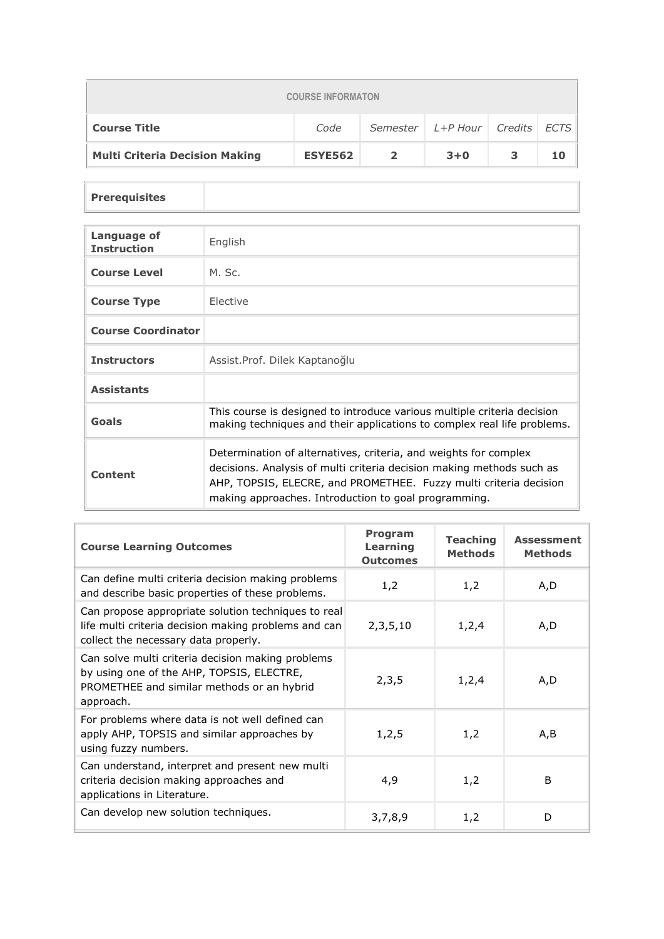| <b>COURSE INFORMATON</b>                                              |                |  |         |   |    |  |  |
|-----------------------------------------------------------------------|----------------|--|---------|---|----|--|--|
| Semester   L+P Hour   Credits   ECTS  <br><b>Course Title</b><br>Code |                |  |         |   |    |  |  |
| <b>Multi Criteria Decision Making</b>                                 | <b>ESYE562</b> |  | $3 + 0$ | 3 | 10 |  |  |

## **Prerequisites**

| Language of<br><b>Instruction</b> | English                                                                                                                                                                                                                                                                |
|-----------------------------------|------------------------------------------------------------------------------------------------------------------------------------------------------------------------------------------------------------------------------------------------------------------------|
| <b>Course Level</b>               | M. Sc.                                                                                                                                                                                                                                                                 |
| <b>Course Type</b>                | Elective                                                                                                                                                                                                                                                               |
| <b>Course Coordinator</b>         |                                                                                                                                                                                                                                                                        |
| <b>Instructors</b>                | Assist. Prof. Dilek Kaptanoğlu                                                                                                                                                                                                                                         |
| <b>Assistants</b>                 |                                                                                                                                                                                                                                                                        |
| Goals                             | This course is designed to introduce various multiple criteria decision<br>making techniques and their applications to complex real life problems.                                                                                                                     |
| <b>Content</b>                    | Determination of alternatives, criteria, and weights for complex<br>decisions. Analysis of multi criteria decision making methods such as<br>AHP, TOPSIS, ELECRE, and PROMETHEE. Fuzzy multi criteria decision<br>making approaches. Introduction to goal programming. |

| <b>Course Learning Outcomes</b>                                                                                                                           | <b>Program</b><br>Learning<br><b>Outcomes</b> | <b>Teaching</b><br><b>Methods</b> | <b>Assessment</b><br><b>Methods</b> |
|-----------------------------------------------------------------------------------------------------------------------------------------------------------|-----------------------------------------------|-----------------------------------|-------------------------------------|
| Can define multi criteria decision making problems<br>and describe basic properties of these problems.                                                    | 1,2                                           | 1,2                               | A,D                                 |
| Can propose appropriate solution techniques to real<br>life multi criteria decision making problems and can<br>collect the necessary data properly.       | 2, 3, 5, 10                                   | 1,2,4                             | A,D                                 |
| Can solve multi criteria decision making problems<br>by using one of the AHP, TOPSIS, ELECTRE,<br>PROMETHEE and similar methods or an hybrid<br>approach. | 2,3,5                                         | 1,2,4                             | A,D                                 |
| For problems where data is not well defined can<br>apply AHP, TOPSIS and similar approaches by<br>using fuzzy numbers.                                    | 1,2,5                                         | 1,2                               | A,B                                 |
| Can understand, interpret and present new multi<br>criteria decision making approaches and<br>applications in Literature.                                 | 4,9                                           | 1,2                               | B                                   |
| Can develop new solution techniques.                                                                                                                      | 3,7,8,9                                       | 1,2                               | D                                   |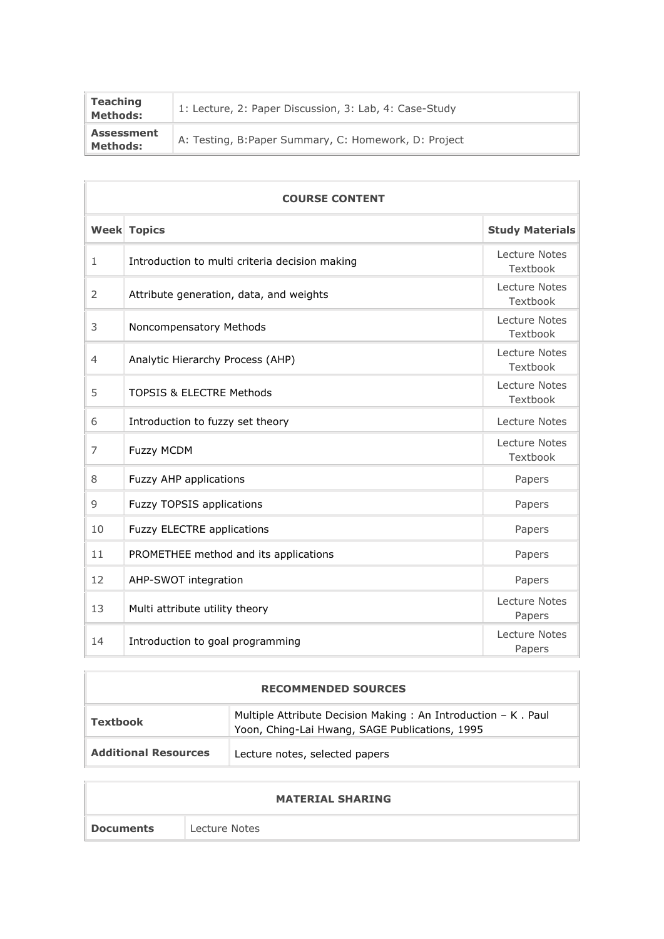| <b>Teaching</b><br><b>Methods:</b>   | 1: Lecture, 2: Paper Discussion, 3: Lab, 4: Case-Study |
|--------------------------------------|--------------------------------------------------------|
| <b>Assessment</b><br><b>Methods:</b> | A: Testing, B:Paper Summary, C: Homework, D: Project   |

| <b>COURSE CONTENT</b> |                                                |                                  |  |  |
|-----------------------|------------------------------------------------|----------------------------------|--|--|
|                       | <b>Week Topics</b>                             | <b>Study Materials</b>           |  |  |
| $\mathbf{1}$          | Introduction to multi criteria decision making | Lecture Notes<br>Textbook        |  |  |
| 2                     | Attribute generation, data, and weights        | Lecture Notes<br>Textbook        |  |  |
| 3                     | Noncompensatory Methods                        | <b>Lecture Notes</b><br>Textbook |  |  |
| 4                     | Analytic Hierarchy Process (AHP)               | Lecture Notes<br>Textbook        |  |  |
| 5                     | <b>TOPSIS &amp; ELECTRE Methods</b>            | Lecture Notes<br>Textbook        |  |  |
| 6                     | Introduction to fuzzy set theory               | Lecture Notes                    |  |  |
| 7                     | <b>Fuzzy MCDM</b>                              | Lecture Notes<br>Textbook        |  |  |
| 8                     | Fuzzy AHP applications                         | Papers                           |  |  |
| 9                     | <b>Fuzzy TOPSIS applications</b>               | Papers                           |  |  |
| 10                    | <b>Fuzzy ELECTRE applications</b>              | Papers                           |  |  |
| 11                    | PROMETHEE method and its applications          | Papers                           |  |  |
| 12                    | AHP-SWOT integration                           | Papers                           |  |  |
| 13                    | Multi attribute utility theory                 | Lecture Notes<br>Papers          |  |  |
| 14                    | Introduction to goal programming               | <b>Lecture Notes</b><br>Papers   |  |  |

| <b>RECOMMENDED SOURCES</b>  |                                                                                                                 |  |  |  |
|-----------------------------|-----------------------------------------------------------------------------------------------------------------|--|--|--|
| <b>Textbook</b>             | Multiple Attribute Decision Making: An Introduction - K. Paul<br>Yoon, Ching-Lai Hwang, SAGE Publications, 1995 |  |  |  |
| <b>Additional Resources</b> | Lecture notes, selected papers                                                                                  |  |  |  |

|                  | <b>MATERIAL SHARING</b> |
|------------------|-------------------------|
| <b>Documents</b> | Lecture Notes           |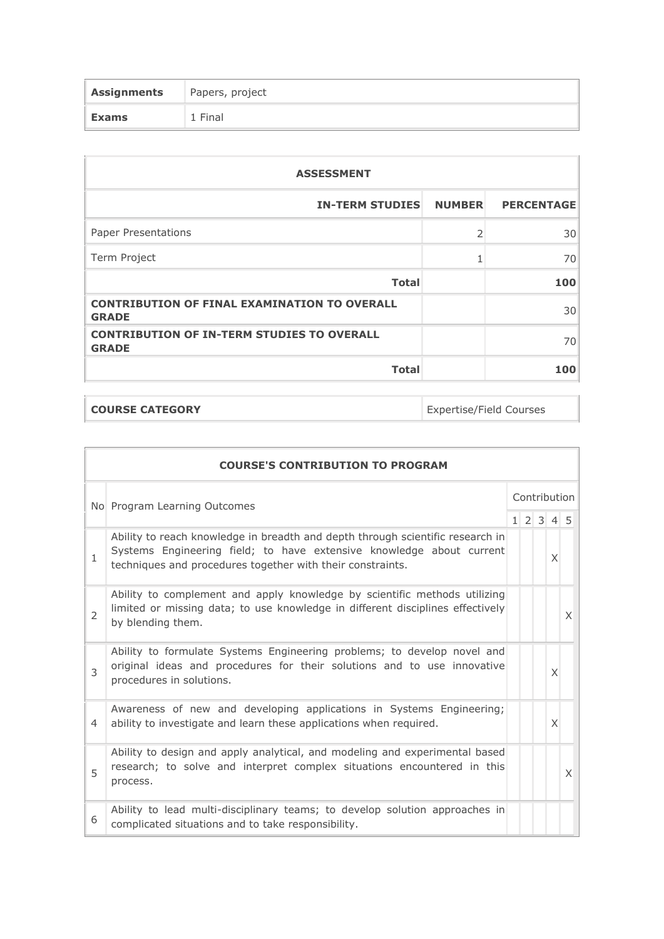| Assignments | Papers, project |
|-------------|-----------------|
| Exams       | 1 Final         |

| <b>ASSESSMENT</b>                                                   |                |                   |  |  |  |
|---------------------------------------------------------------------|----------------|-------------------|--|--|--|
| <b>IN-TERM STUDIES</b>                                              | <b>NUMBER</b>  | <b>PERCENTAGE</b> |  |  |  |
| <b>Paper Presentations</b>                                          | $\overline{2}$ | 30                |  |  |  |
| Term Project                                                        |                | 70                |  |  |  |
| <b>Total</b>                                                        |                | 100               |  |  |  |
| <b>CONTRIBUTION OF FINAL EXAMINATION TO OVERALL</b><br><b>GRADE</b> |                | 30                |  |  |  |
| <b>CONTRIBUTION OF IN-TERM STUDIES TO OVERALL</b><br><b>GRADE</b>   |                | 70                |  |  |  |
| <b>Total</b>                                                        |                | 100               |  |  |  |

**COURSE CATEGORY Expertise/Field Courses** 

|                | <b>COURSE'S CONTRIBUTION TO PROGRAM</b>                                                                                                                                                                              |              |  |  |       |   |
|----------------|----------------------------------------------------------------------------------------------------------------------------------------------------------------------------------------------------------------------|--------------|--|--|-------|---|
|                | No Program Learning Outcomes                                                                                                                                                                                         | Contribution |  |  |       |   |
|                |                                                                                                                                                                                                                      |              |  |  | 12345 |   |
| $\mathbf{1}$   | Ability to reach knowledge in breadth and depth through scientific research in<br>Systems Engineering field; to have extensive knowledge about current<br>techniques and procedures together with their constraints. |              |  |  | X     |   |
| $\overline{2}$ | Ability to complement and apply knowledge by scientific methods utilizing<br>limited or missing data; to use knowledge in different disciplines effectively<br>by blending them.                                     |              |  |  |       | X |
| 3              | Ability to formulate Systems Engineering problems; to develop novel and<br>original ideas and procedures for their solutions and to use innovative<br>procedures in solutions.                                       |              |  |  | X     |   |
| 4              | Awareness of new and developing applications in Systems Engineering;<br>ability to investigate and learn these applications when required.                                                                           |              |  |  | X     |   |
| 5              | Ability to design and apply analytical, and modeling and experimental based<br>research; to solve and interpret complex situations encountered in this<br>process.                                                   |              |  |  |       | X |
| 6              | Ability to lead multi-disciplinary teams; to develop solution approaches in<br>complicated situations and to take responsibility.                                                                                    |              |  |  |       |   |